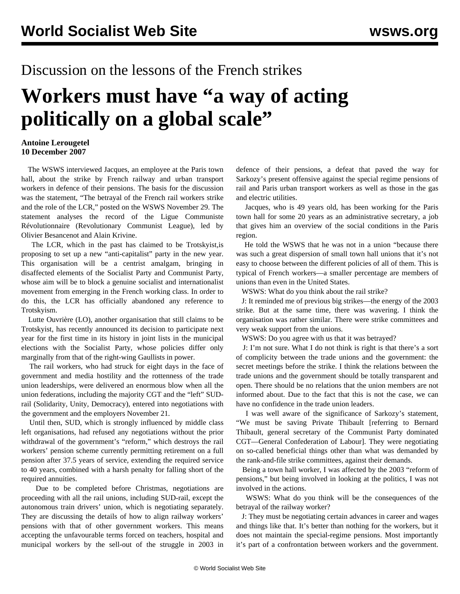## Discussion on the lessons of the French strikes

## **Workers must have "a way of acting politically on a global scale"**

## **Antoine Lerougetel 10 December 2007**

 The WSWS interviewed Jacques, an employee at the Paris town hall, about the strike by French railway and urban transport workers in defence of their pensions. The basis for the discussion was the statement, "The betrayal of the French rail workers strike and the role of the LCR," posted on the WSWS November 29. The statement analyses the record of the Ligue Communiste Révolutionnaire (Revolutionary Communist League), led by Olivier Besancenot and Alain Krivine.

 The LCR*,* which in the past has claimed to be Trotskyist,is proposing to set up a new "anti-capitalist" party in the new year. This organisation will be a centrist amalgam, bringing in disaffected elements of the Socialist Party and Communist Party, whose aim will be to block a genuine socialist and internationalist movement from emerging in the French working class. In order to do this, the LCR has officially abandoned any reference to Trotskyism.

 Lutte Ouvrière (LO), another organisation that still claims to be Trotskyist, has recently announced its decision to participate next year for the first time in its history in joint lists in the municipal elections with the Socialist Party, whose policies differ only marginally from that of the right-wing Gaullists in power.

 The rail workers, who had struck for eight days in the face of government and media hostility and the rottenness of the trade union leaderships, were delivered an enormous blow when all the union federations, including the majority CGT and the "left" SUDrail (Solidarity, Unity, Democracy), entered into negotiations with the government and the employers November 21.

 Until then, SUD, which is strongly influenced by middle class left organisations, had refused any negotiations without the prior withdrawal of the government's "reform," which destroys the rail workers' pension scheme currently permitting retirement on a full pension after 37.5 years of service, extending the required service to 40 years, combined with a harsh penalty for falling short of the required annuities.

 Due to be completed before Christmas, negotiations are proceeding with all the rail unions, including SUD-rail, except the autonomous train drivers' union, which is negotiating separately. They are discussing the details of how to align railway workers' pensions with that of other government workers. This means accepting the unfavourable terms forced on teachers, hospital and municipal workers by the sell-out of the struggle in 2003 in

defence of their pensions, a defeat that paved the way for Sarkozy's present offensive against the special regime pensions of rail and Paris urban transport workers as well as those in the gas and electric utilities.

 Jacques, who is 49 years old, has been working for the Paris town hall for some 20 years as an administrative secretary, a job that gives him an overview of the social conditions in the Paris region.

 He told the WSWS that he was not in a union "because there was such a great dispersion of small town hall unions that it's not easy to choose between the different policies of all of them. This is typical of French workers—a smaller percentage are members of unions than even in the United States.

WSWS: What do you think about the rail strike?

 J: It reminded me of previous big strikes—the energy of the 2003 strike. But at the same time, there was wavering. I think the organisation was rather similar. There were strike committees and very weak support from the unions.

WSWS: Do you agree with us that it was betrayed?

 J: I'm not sure. What I do not think is right is that there's a sort of complicity between the trade unions and the government: the secret meetings before the strike. I think the relations between the trade unions and the government should be totally transparent and open. There should be no relations that the union members are not informed about. Due to the fact that this is not the case, we can have no confidence in the trade union leaders.

 I was well aware of the significance of Sarkozy's statement, "We must be saving Private Thibault [referring to Bernard Thibault, general secretary of the Communist Party dominated CGT—General Confederation of Labour]. They were negotiating on so-called beneficial things other than what was demanded by the rank-and-file strike committees, against their demands.

 Being a town hall worker, I was affected by the 2003 "reform of pensions," but being involved in looking at the politics, I was not involved in the actions.

 WSWS: What do you think will be the consequences of the betrayal of the railway worker?

 J: They must be negotiating certain advances in career and wages and things like that. It's better than nothing for the workers, but it does not maintain the special-regime pensions. Most importantly it's part of a confrontation between workers and the government.